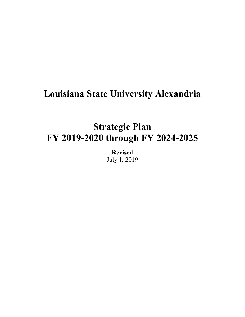# **Louisiana State University Alexandria**

# **Strategic Plan FY 2019-2020 through FY 2024-2025**

**Revised**  July 1, 2019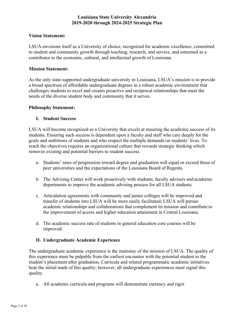# **Vision Statement:**

LSUA envisions itself as a University of choice, recognized for academic excellence, committed to student and community growth through teaching, research, and service, and esteemed as a contributor to the economic, cultural, and intellectual growth of Louisiana.

# **Mission Statement:**

As the only state-supported undergraduate university in Louisiana, LSUA's mission is to provide a broad spectrum of affordable undergraduate degrees in a robust academic environment that challenges students to excel and creates proactive and reciprocal relationships that meet the needs of the diverse student body and community that it serves.

# **Philosophy Statement:**

# **I. Student Success**

LSUA will become recognized as a University that excels at ensuring the academic success of its students. Ensuring such success is dependent upon a faculty and staff who care deeply for the goals and ambitions of students and who respect the multiple demands on students' lives. To reach the objectives requires an organizational culture that rewards strategic thinking which removes existing and potential barriers to student success.

- a. Students' rates of progression toward degree and graduation will equal or exceed those of peer universities and the expectations of the Louisiana Board of Regents.
- b. The Advising Center will work proactively with students, faculty advisers and academic departments to improve the academic advising process for all LSUA students.
- c. Articulation agreements with community and junior colleges will be improved and transfer of students into LSUA will be more easily facilitated; LSUA will pursue academic relationships and collaborations that complement its mission and contribute to the improvement of access and higher education attainment in Central Louisiana.
- d. The academic success rate of students in general education core courses will be improved.

# **II. Undergraduate Academic Experience**

The undergraduate academic experience is the mainstay of the mission of LSUA. The quality of this experience must be palpable from the earliest encounter with the potential student to the student's placement after graduation. Curricula and related programmatic academic initiatives bear the initial mark of this quality; however, all undergraduate experiences must signal this quality.

a. All academic curricula and programs will demonstrate currency and rigor.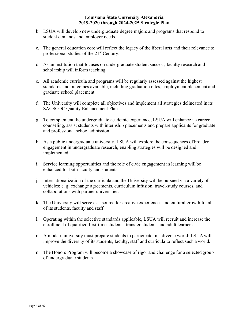- b. LSUA will develop new undergraduate degree majors and programs that respond to student demands and employer needs.
- c. The general education core will reflect the legacy of the liberal arts and their relevance to professional studies of the 21<sup>st</sup> Century.
- scholarship will inform teaching. d. As an institution that focuses on undergraduate student success, faculty research and
- e. All academic curricula and programs will be regularly assessed against the highest standards and outcomes available, including graduation rates, employment placement and graduate school placement.
- f. The University will complete all objectives and implement all strategies delineated in its SACSCOC Quality Enhancement Plan .
- g. To complement the undergraduate academic experience, LSUA will enhance its career counseling, assist students with internship placements and prepare applicants for graduate and professional school admission.
- h. As a public undergraduate university, LSUA will explore the consequences of broader engagement in undergraduate research; enabling strategies will be designed and implemented.
- i. Service learning opportunities and the role of civic engagement in learning will be enhanced for both faculty and students.
- j. Internationalization of the curricula and the University will be pursued via a variety of vehicles; e. g. exchange agreements, curriculum infusion, travel-study courses, and collaborations with partner universities.
- k. The University will serve as a source for creative experiences and cultural growth for all of its students, faculty and staff.
- l. Operating within the selective standards applicable, LSUA will recruit and increase the enrollment of qualified first-time students, transfer students and adult learners.
- m. A modern university must prepare students to participate in a diverse world; LSUA will improve the diversity of its students, faculty, staff and curricula to reflect such a world.
- n. The Honors Program will become a showcase of rigor and challenge for a selected group of undergraduate students.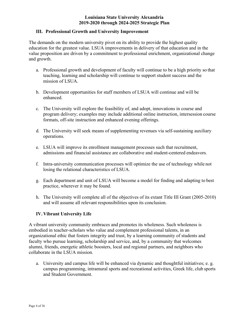# **III. Professional Growth and University Improvement**

The demands on the modern university pivot on its ability to provide the highest quality education for the greatest value. LSUA improvements in delivery of that education and in the value proposition are driven by a commitment to professional enrichment, organizational change and growth.

- a. Professional growth and development of faculty will continue to be a high priority so that teaching, learning and scholarship will continue to support student success and the mission of LSUA.
- b. Development opportunities for staff members of LSUA will continue and will be enhanced.
- c. The University will explore the feasibility of, and adopt, innovations in course and program delivery; examples may include additional online instruction, intersession course formats, off-site instruction and enhanced evening offerings.
- d. The University will seek means of supplementing revenues via self-sustaining auxiliary operations.
- e. LSUA will improve its enrollment management processes such that recruitment, admissions and financial assistance are collaborative and student-centered endeavors.
- f. Intra-university communication processes will optimize the use of technology while not losing the relational characteristics of LSUA.
- g. Each department and unit of LSUA will become a model for finding and adapting to best practice, wherever it may be found.
- h. The University will complete all of the objectives of its extant Title III Grant (2005-2010) and will assume all relevant responsibilities upon its conclusion.

# **IV. Vibrant University Life**

A vibrant university community embraces and promotes its wholeness. Such wholeness is embodied in teacher-scholars who value and complement professional talents, in an organizational ethic that fosters integrity and trust, by a learning community of students and faculty who pursue learning, scholarship and service, and, by a community that welcomes alumni, friends, energetic athletic boosters, local and regional partners, and neighbors who collaborate in the LSUA mission.

a. University and campus life will be enhanced via dynamic and thoughtful initiatives; e. g. campus programming, intramural sports and recreational activities, Greek life, club sports and Student Government.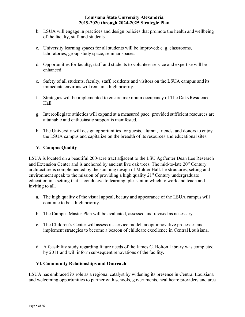- b. LSUA will engage in practices and design policies that promote the health and wellbeing of the faculty, staff and students.
- c. University learning spaces for all students will be improved; e. g. classrooms, laboratories, group study space, seminar spaces.
- d. Opportunities for faculty, staff and students to volunteer service and expertise will be enhanced.
- e. Safety of all students, faculty, staff, residents and visitors on the LSUA campus and its immediate environs will remain a high priority.
- f. Strategies will be implemented to ensure maximum occupancy of The Oaks Residence Hall.
- g. Intercollegiate athletics will expand at a measured pace, provided sufficient resources are attainable and enthusiastic support is manifested.
- h. The University will design opportunities for guests, alumni, friends, and donors to enjoy the LSUA campus and capitalize on the breadth of its resources and educational sites.

# **V. Campus Quality**

LSUA is located on a beautiful 200-acre tract adjacent to the LSU AgCenter Dean Lee Research and Extension Center and is anchored by ancient live oak trees. The mid-to-late  $20<sup>th</sup>$  Century architecture is complemented by the stunning design of Mulder Hall. he structures, setting and environment speak to the mission of providing a high quality  $21<sup>st</sup>$  Century undergraduate education in a setting that is conducive to learning, pleasant in which to work and teach and inviting to all.

- a. The high quality of the visual appeal, beauty and appearance of the LSUA campus will continue to be a high priority.
- b. The Campus Master Plan will be evaluated, assessed and revised as necessary.
- c. The Children's Center will assess its service model, adopt innovative processes and implement strategies to become a beacon of childcare excellence in Central Louisiana.
- d. A feasibility study regarding future needs of the James C. Bolton Library was completed by 2011 and will inform subsequent renovations of the facility.

# **VI. Community Relationships and Outreach**

LSUA has embraced its role as a regional catalyst by widening its presence in Central Louisiana and welcoming opportunities to partner with schools, governments, healthcare providers and area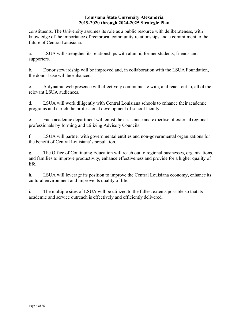constituents. The University assumes its role as a public resource with deliberateness, with knowledge of the importance of reciprocal community relationships and a commitment to the future of Central Louisiana.

a. LSUA will strengthen its relationships with alumni, former students, friends and supporters.

 the donor base will be enhanced. b. Donor stewardship will be improved and, in collaboration with the LSUA Foundation,

c. A dynamic web presence will effectively communicate with, and reach out to, all of the relevant LSUA audiences.

d. LSUA will work diligently with Central Louisiana schools to enhance their academic programs and enrich the professional development of school faculty.

e. Each academic department will enlist the assistance and expertise of external regional professionals by forming and utilizing Advisory Councils.

f. LSUA will partner with governmental entities and non-governmental organizations for the benefit of Central Louisiana's population.

g. The Office of Continuing Education will reach out to regional businesses, organizations, and families to improve productivity, enhance effectiveness and provide for a higher quality of life.

h. LSUA will leverage its position to improve the Central Louisiana economy, enhance its cultural environment and improve its quality of life.

i. The multiple sites of LSUA will be utilized to the fullest extents possible so that its academic and service outreach is effectively and efficiently delivered.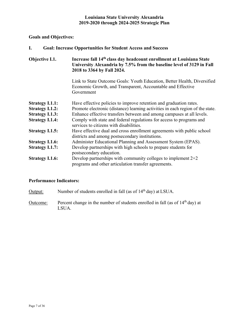# **Goals and Objectives:**

| <b>Goal: Increase Opportunities for Student Access and Success</b> |
|--------------------------------------------------------------------|
|--------------------------------------------------------------------|

# **Objective I.1. Increase fall 14th class day headcount enrollment at Louisiana State University Alexandria by 7.5% from the baseline level of 3129 in Fall 2018 to 3364 by Fall 2024.**

Link to State Outcome Goals: Youth Education, Better Health, Diversified Economic Growth, and Transparent, Accountable and Effective Government

| <b>Strategy I.1.1:</b> | Have effective policies to improve retention and graduation rates.                                                      |
|------------------------|-------------------------------------------------------------------------------------------------------------------------|
| <b>Strategy I.1.2:</b> | Promote electronic (distance) learning activities in each region of the state.                                          |
| <b>Strategy I.1.3:</b> | Enhance effective transfers between and among campuses at all levels.                                                   |
| <b>Strategy I.1.4:</b> | Comply with state and federal regulations for access to programs and                                                    |
|                        | services to citizens with disabilities.                                                                                 |
| <b>Strategy I.1.5:</b> | Have effective dual and cross enrollment agreements with public school                                                  |
|                        | districts and among postsecondary institutions.                                                                         |
| <b>Strategy I.1.6:</b> | Administer Educational Planning and Assessment System (EPAS).                                                           |
| <b>Strategy I.1.7:</b> | Develop partnerships with high schools to prepare students for<br>postsecondary education.                              |
| <b>Strategy I.1.6:</b> | Develop partnerships with community colleges to implement $2+2$<br>programs and other articulation transfer agreements. |

- Output: Number of students enrolled in fall (as of 14<sup>th</sup> day) at LSUA.
- Outcome: Percent change in the number of students enrolled in fall (as of  $14<sup>th</sup>$  day) at LSUA.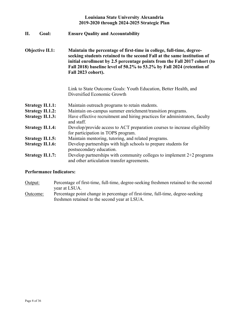| П. | <b>Goal:</b> | <b>Ensure Quality and Accountability</b> |  |
|----|--------------|------------------------------------------|--|
|    |              |                                          |  |

 **Fall 2018) baseline level of 50.2% to 53.2% by Fall 2024 (retention of Objective II.1: Maintain the percentage of first-time in college, full-time, degreeseeking students retained to the second Fall at the same institution of initial enrollment by 2.5 percentage points from the Fall 2017 cohort (to Fall 2023 cohort).** 

> Link to State Outcome Goals: Youth Education, Better Health, and Diversified Economic Growth

| <b>Strategy II.1.1:</b> |  | Maintain outreach programs to retain students. |
|-------------------------|--|------------------------------------------------|
|                         |  |                                                |

- **Strategy II.1.2:** Maintain on-campus summer enrichment/transition programs.
- **Strategy II.1.3:** Have effective recruitment and hiring practices for administrators, faculty and staff.
- **Strategy II.1.4:** Develop/provide access to ACT preparation courses to increase eligibility for participation in TOPS program.
- **Strategy II.1.5:** Maintain mentoring, tutoring, and related programs.
- **Strategy II.1.6:** Develop partnerships with high schools to prepare students for postsecondary education.
- **Strategy II.1.7:** Develop partnerships with community colleges to implement 2+2 programs and other articulation transfer agreements.

- Output: Percentage of first-time, full-time, degree-seeking freshmen retained to the second year at LSUA.
- Outcome: Percentage point change in percentage of first-time, full-time, degree-seeking freshmen retained to the second year at LSUA.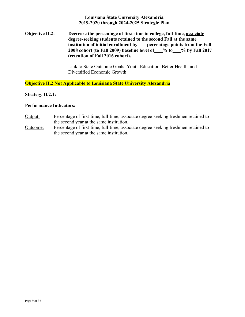# **Objective II.2: Decrease the percentage of first-time in college, full-time, associate degree-seeking students retained to the second Fall at the same** institution of initial enrollment by percentage points from the Fall 2008 cohort (to Fall 2009) baseline level of 500 % to 500 % by Fall 2017 **(retention of Fall 2016 cohort).**

Link to State Outcome Goals: Youth Education, Better Health, and Diversified Economic Growth

**Objective II.2 Not Applicable to Louisiana State University Alexandria** 

### **Strategy II.2.1:**

- Output: Percentage of first-time, full-time, associate degree-seeking freshmen retained to the second year at the same institution.
- Outcome: Percentage of first-time, full-time, associate degree-seeking freshmen retained to the second year at the same institution.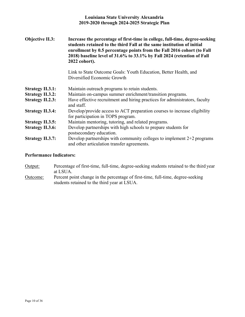| <b>Objective II.3:</b>  | Increase the percentage of first-time in college, full-time, degree-seeking<br>students retained to the third Fall at the same institution of initial<br>enrollment by 0.5 percentage points from the Fall 2016 cohort (to Fall<br>2018) baseline level of 31.6% to 33.1% by Fall 2024 (retention of Fall<br>2022 cohort). |
|-------------------------|----------------------------------------------------------------------------------------------------------------------------------------------------------------------------------------------------------------------------------------------------------------------------------------------------------------------------|
|                         | Link to State Outcome Goals: Youth Education, Better Health, and<br>Diversified Economic Growth                                                                                                                                                                                                                            |
| <b>Strategy II.3.1:</b> | Maintain outreach programs to retain students.                                                                                                                                                                                                                                                                             |
| <b>Strategy II.3.2:</b> | Maintain on-campus summer enrichment/transition programs.                                                                                                                                                                                                                                                                  |
| <b>Strategy II.2.3:</b> | Have effective recruitment and hiring practices for administrators, faculty<br>and staff.                                                                                                                                                                                                                                  |
| <b>Strategy II.3.4:</b> | Develop/provide access to ACT preparation courses to increase eligibility<br>for participation in TOPS program.                                                                                                                                                                                                            |
| <b>Strategy II.3.5:</b> | Maintain mentoring, tutoring, and related programs.                                                                                                                                                                                                                                                                        |
| <b>Strategy II.3.6:</b> | Develop partnerships with high schools to prepare students for<br>postsecondary education.                                                                                                                                                                                                                                 |
| <b>Strategy II.3.7:</b> | Develop partnerships with community colleges to implement $2+2$ programs<br>and other articulation transfer agreements.                                                                                                                                                                                                    |

# **Performance Indicators:**

Output: Percentage of first-time, full-time, degree-seeking students retained to the third year at LSUA. Outcome: Percent point change in the percentage of first-time, full-time, degree-seeking students retained to the third year at LSUA.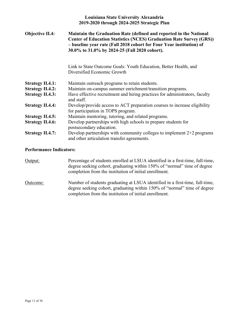| <b>Objective II.4:</b>  | Maintain the Graduation Rate (defined and reported in the National<br><b>Center of Education Statistics (NCES) Graduation Rate Survey (GRS))</b><br>- baseline year rate (Fall 2018 cohort for Four Year institution) of<br>30.0% to 31.0% by 2024-25 (Fall 2020 cohort). |
|-------------------------|---------------------------------------------------------------------------------------------------------------------------------------------------------------------------------------------------------------------------------------------------------------------------|
|                         | Link to State Outcome Goals: Youth Education, Better Health, and<br>Diversified Economic Growth                                                                                                                                                                           |
| <b>Strategy II.4.1:</b> | Maintain outreach programs to retain students.                                                                                                                                                                                                                            |
| <b>Strategy II.4.2:</b> | Maintain on-campus summer enrichment/transition programs.                                                                                                                                                                                                                 |
| <b>Strategy II.4.3:</b> | Have effective recruitment and hiring practices for administrators, faculty<br>and staff.                                                                                                                                                                                 |
| <b>Strategy II.4.4:</b> | Develop/provide access to ACT preparation courses to increase eligibility<br>for participation in TOPS program.                                                                                                                                                           |
| <b>Strategy II.4.5:</b> | Maintain mentoring, tutoring, and related programs.                                                                                                                                                                                                                       |
| <b>Strategy II.4.6:</b> | Develop partnerships with high schools to prepare students for<br>postsecondary education.                                                                                                                                                                                |
| <b>Strategy II.4.7:</b> | Develop partnerships with community colleges to implement $2+2$ programs<br>and other articulation transfer agreements.                                                                                                                                                   |

# **Performance Indicators:**

Output: Percentage of students enrolled at LSUA identified in a first-time, full-time, degree seeking cohort, graduating within 150% of "normal" time of degree completion from the institution of initial enrollment.

Outcome: Number of students graduating at LSUA identified in a first-time, full-time, degree seeking cohort, graduating within 150% of "normal" time of degree completion from the institution of initial enrollment.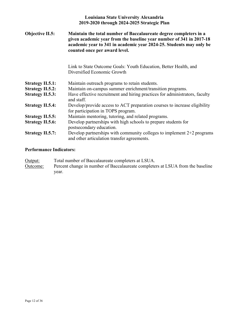| <b>Objective II.5:</b>  | Maintain the total number of Baccalaureate degree completers in a<br>given academic year from the baseline year number of 341 in 2017-18<br>academic year to 341 in academic year 2024-25. Students may only be<br>counted once per award level. |
|-------------------------|--------------------------------------------------------------------------------------------------------------------------------------------------------------------------------------------------------------------------------------------------|
|                         | Link to State Outcome Goals: Youth Education, Better Health, and<br>Diversified Economic Growth                                                                                                                                                  |
| <b>Strategy II.5.1:</b> | Maintain outreach programs to retain students.                                                                                                                                                                                                   |
| <b>Strategy II.5.2:</b> | Maintain on-campus summer enrichment/transition programs.                                                                                                                                                                                        |
| <b>Strategy II.5.3:</b> | Have effective recruitment and hiring practices for administrators, faculty<br>and staff.                                                                                                                                                        |
| <b>Strategy II.5.4:</b> | Develop/provide access to ACT preparation courses to increase eligibility<br>for participation in TOPS program.                                                                                                                                  |
| <b>Strategy II.5.5:</b> | Maintain mentoring, tutoring, and related programs.                                                                                                                                                                                              |
| <b>Strategy II.5.6:</b> | Develop partnerships with high schools to prepare students for<br>postsecondary education.                                                                                                                                                       |
| <b>Strategy II.5.7:</b> | Develop partnerships with community colleges to implement $2+2$ programs<br>and other articulation transfer agreements.                                                                                                                          |

| Output:         | Total number of Baccalaureate completers at LSUA.                              |
|-----------------|--------------------------------------------------------------------------------|
| <u>Outcome:</u> | Percent change in number of Baccalaureate completers at LSUA from the baseline |
|                 | vear.                                                                          |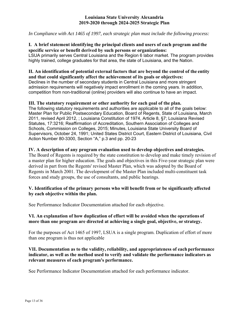*In Compliance with Act 1465 of 1997, each strategic plan must include the following process:* 

# **I. A brief statement identifying the principal clients and users of each program and the specific service or benefit derived by such persons or organizations:**

LSUA primarily serves Central Louisiana and the Region 6 labor market. The program provides highly trained, college graduates for that area, the state of Louisiana, and the Nation.

### **II. An identification of potential external factors that are beyond the control of the entity and that could significantly affect the achievement of its goals or objectives:**

Declines in the number of secondary students in Central Louisiana and more stringent admission requirements will negatively impact enrollment in the coming years. In addition, competition from non-traditional (online) providers will also continue to have an impact.

# **III. The statutory requirement or other authority for each goal of the plan.**

The following statutory requirements and authorities are applicable to all of the goals below: Master Plan for Public Postsecondary Education, Board of Regents, State of Louisiana, March 2011, revised April 2012, ; Louisiana Constitution of 1974, Article 8, §7; Louisiana Revised Statutes, 17:3216; Reaffirmation of Accreditation, Southern Association of Colleges and Schools, Commission on Colleges, 2015; Minutes, Louisiana State University Board of Supervisors, October 24, 1991; United States District Court, Eastern District of Louisiana, Civil Action Number 80-3300, Section "A," p.3 and pp. 20-23

# **IV. A description of any program evaluation used to develop objectives and strategies.**

The Board of Regents is required by the state constitution to develop and make timely revision of a master plan for higher education. The goals and objectives in this Five-year strategic plan were derived in part from the Regents' revised Master Plan, which was adopted by the Board of Regents in March 2001. The development of the Master Plan included multi-constituent task forces and study groups, the use of consultants, and public hearings.

# **V. Identification of the primary persons who will benefit from or be significantly affected by each objective within the plan.**

See Performance Indicator Documentation attached for each objective.

# **VI. An explanation of how duplication of effort will be avoided when the operations of more than one program are directed at achieving a single goal, objective, or strategy.**

For the purposes of Act 1465 of 1997, LSUA is a single program. Duplication of effort of more than one program is thus not applicable

# **VII. Documentation as to the validity, reliability, and appropriateness of each performance indicator, as well as the method used to verify and validate the performance indicators as relevant measures of each program's performance.**

See Performance Indicator Documentation attached for each performance indicator.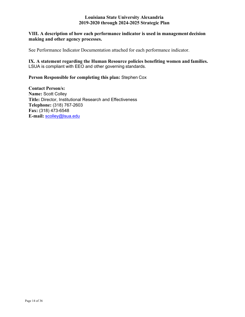# **VIII. A description of how each performance indicator is used in management decision making and other agency processes.**

See Performance Indicator Documentation attached for each performance indicator.

**IX. A statement regarding the Human Resource policies benefiting women and families.**  LSUA is compliant with EEO and other governing standards.

## **Person Responsible for completing this plan:** Stephen Cox

**Contact Person/s: Name:** Scott Colley **Title:** Director, Institutional Research and Effectiveness **Telephone:** (318) 767-2603 **Fax:** (318) 473-6548 **E-mail:** [scolley@lsua.edu](mailto:scolley@lsua.edu)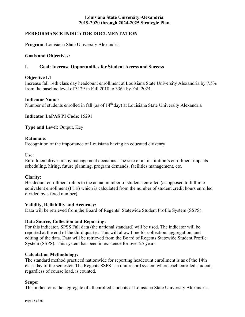# **PERFORMANCE INDICATOR DOCUMENTATION**

**Program**: Louisiana State University Alexandria

## **Goals and Objectives:**

## **I. Goal: Increase Opportunities for Student Access and Success**

#### **Objective I.1**:

Increase fall 14th class day headcount enrollment at Louisiana State University Alexandria by 7.5% from the baseline level of 3129 in Fall 2018 to 3364 by Fall 2024.

### **Indicator Name:**

Number of students enrolled in fall (as of 14<sup>th</sup> day) at Louisiana State University Alexandria

# **Indicator LaPAS PI Code**: 15291

**Type and Level:** Output, Key

### **Rationale**:

Recognition of the importance of Louisiana having an educated citizenry

**Use**:

Enrollment drives many management decisions. The size of an institution's enrollment impacts scheduling, hiring, future planning, program demands, facilities management, etc.

# **Clarity:**

Headcount enrollment refers to the actual number of students enrolled (as opposed to fulltime equivalent enrollment (FTE) which is calculated from the number of student credit hours enrolled divided by a fixed number)

# **Validity, Reliability and Accuracy:**

Data will be retrieved from the Board of Regents' Statewide Student Profile System (SSPS).

# **Data Source, Collection and Reporting:**

For this indicator, SPSS Fall data (the national standard) will be used. The indicator will be reported at the end of the third quarter. This will allow time for collection, aggregation, and editing of the data. Data will be retrieved from the Board of Regents Statewide Student Profile System (SSPS). This system has been in existence for over 25 years.

# **Calculation Methodology:**

The standard method practiced nationwide for reporting headcount enrollment is as of the 14th class day of the semester. The Regents SSPS is a unit record system where each enrolled student, regardless of course load, is counted.

#### **Scope:**

This indicator is the aggregate of all enrolled students at Louisiana State University Alexandria.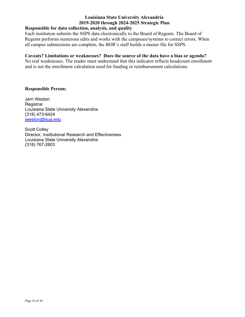# **Responsible for data collection, analysis, and quality**

Each institution submits the SSPS data electronically to the Board of Regents. The Board of Regents performs numerous edits and works with the campuses/systems to correct errors. When all campus submissions are complete, the BOR's staff builds a master file for SSPS.

# **Caveats? Limitations or weaknesses? Does the source of the data have a bias or agenda?**

No real weaknesses. The reader must understand that this indicator reflects headcount enrollment and is not the enrollment calculation used for funding or reimbursement calculations.

# **Responsible Person:**

Jerri Weston **Registrar** Louisiana State University Alexandria (318) 473-6424 [jweston@lsua.edu](mailto:jweston@lsua.edu)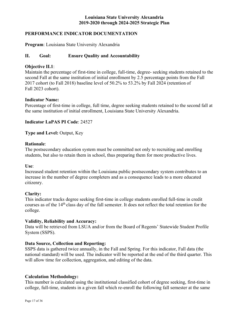# **PERFORMANCE INDICATOR DOCUMENTATION**

**Program**: Louisiana State University Alexandria

# **II. Goal: Ensure Quality and Accountability**

# **Objective II.1**:

Maintain the percentage of first-time in college, full-time, degree- seeking students retained to the second Fall at the same institution of initial enrollment by 2.5 percentage points from the Fall 2017 cohort (to Fall 2018) baseline level of 50.2% to 53.2% by Fall 2024 (retention of Fall 2023 cohort).

# **Indicator Name:**

Percentage of first-time in college, full time, degree seeking students retained to the second fall at the same institution of initial enrollment, Louisiana State University Alexandria.

# **Indicator LaPAS PI Code**: 24527

**Type and Level:** Output, Key

### **Rationale**:

The postsecondary education system must be committed not only to recruiting and enrolling students, but also to retain them in school, thus preparing them for more productive lives.

#### **Use**:

Increased student retention within the Louisiana public postsecondary system contributes to an increase in the number of degree completers and as a consequence leads to a more educated citizenry.

# **Clarity:**

This indicator tracks degree seeking first-time in college students enrolled full-time in credit courses as of the 14<sup>th</sup> class day of the fall semester. It does not reflect the total retention for the college.

# **Validity, Reliability and Accuracy:**

Data will be retrieved from LSUA and/or from the Board of Regents' Statewide Student Profile System (SSPS).

# **Data Source, Collection and Reporting:**

SSPS data is gathered twice annually, in the Fall and Spring. For this indicator, Fall data (the national standard) will be used. The indicator will be reported at the end of the third quarter. This will allow time for collection, aggregation, and editing of the data.

# **Calculation Methodology:**

This number is calculated using the institutional classified cohort of degree seeking, first-time in college, full-time, students in a given fall which re-enroll the following fall semester at the same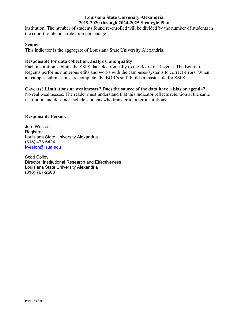institution. The number of students found re-enrolled will be divided by the number of students in the cohort to obtain a retention percentage.

## **Scope:**

This indicator is the aggregate of Louisiana State University Alexandria.

# **Responsible for data collection, analysis, and quality**

Each institution submits the SSPS data electronically to the Board of Regents. The Board of Regents performs numerous edits and works with the campuses/systems to correct errors. When all campus submissions are complete, the BOR's staff builds a master file for SSPS.

# **Caveats? Limitations or weaknesses? Does the source of the data have a bias or agenda?**

No real weaknesses. The reader must understand that this indicator reflects retention at the same institution and does not include students who transfer to other institutions.

# **Responsible Person:**

Jerri Weston **Registrar** Louisiana State University Alexandria (318) 473-6424 [jweston@lsua.edu](mailto:jweston@lsua.edu)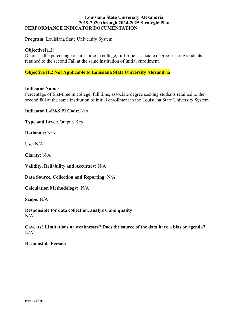# **Louisiana State University Alexandria 2019-2020 through 2024-2025 Strategic Plan PERFORMANCE INDICATOR DOCUMENTATION**

**Program**: Louisiana State University System

#### **ObjectiveI1.2**:

Decrease the percentage of first-time in college, full-time, associate degree-seeking students retained to the second Fall at the same institution of initial enrollment.

## **Objective II.2 Not Applicable to Louisiana State University Alexandria**

#### **Indicator Name:**

Percentage of first-time in college, full time, associate degree seeking students retained to the second fall at the same institution of initial enrollment in the Louisiana State University System

**Indicator LaPAS PI Code**: N/A

**Type and Level:** Output, Key

**Rationale**: N/A

**Use**: N/A

**Clarity:** N/A

**Validity, Reliability and Accuracy:** N/A

**Data Source, Collection and Reporting:** N/A

**Calculation Methodology:** N/A

**Scope:** N/A

**Responsible for data collection, analysis, and quality**   $N/A$ 

**Caveats? Limitations or weaknesses? Does the source of the data have a bias or agenda?**   $N/A$ 

**Responsible Person:**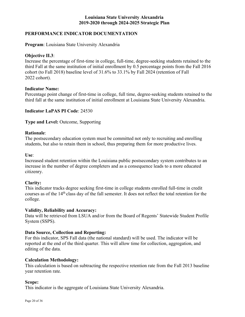# **PERFORMANCE INDICATOR DOCUMENTATION**

**Program**: Louisiana State University Alexandria

### **Objective II.3**:

Increase the percentage of first-time in college, full-time, degree-seeking students retained to the third Fall at the same institution of initial enrollment by 0.5 percentage points from the Fall 2016 cohort (to Fall 2018) baseline level of 31.6% to 33.1% by Fall 2024 (retention of Fall 2022 cohort).

### **Indicator Name:**

Percentage point change of first-time in college, full time, degree-seeking students retained to the third fall at the same institution of initial enrollment at Louisiana State University Alexandria.

**Indicator LaPAS PI Code**: 24530

**Type and Level:** Outcome, Supporting

#### **Rationale**:

The postsecondary education system must be committed not only to recruiting and enrolling students, but also to retain them in school, thus preparing them for more productive lives.

**Use**:

Increased student retention within the Louisiana public postsecondary system contributes to an increase in the number of degree completers and as a consequence leads to a more educated citizenry.

# **Clarity:**

This indicator tracks degree seeking first-time in college students enrolled full-time in credit courses as of the 14<sup>th</sup> class day of the fall semester. It does not reflect the total retention for the college.

#### **Validity, Reliability and Accuracy:**

Data will be retrieved from LSUA and/or from the Board of Regents' Statewide Student Profile System (SSPS).

# **Data Source, Collection and Reporting:**

For this indicator, SPS Fall data (the national standard) will be used. The indicator will be reported at the end of the third quarter. This will allow time for collection, aggregation, and editing of the data.

#### **Calculation Methodology:**

This calculation is based on subtracting the respective retention rate from the Fall 2013 baseline year retention rate.

#### **Scope:**

This indicator is the aggregate of Louisiana State University Alexandria.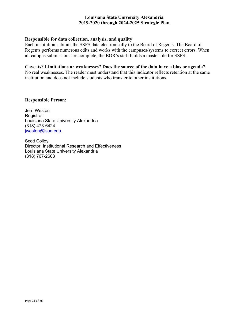# **Responsible for data collection, analysis, and quality**

Each institution submits the SSPS data electronically to the Board of Regents. The Board of Regents performs numerous edits and works with the campuses/systems to correct errors. When all campus submissions are complete, the BOR's staff builds a master file for SSPS.

# **Caveats? Limitations or weaknesses? Does the source of the data have a bias or agenda?**

No real weaknesses. The reader must understand that this indicator reflects retention at the same institution and does not include students who transfer to other institutions.

# **Responsible Person:**

Jerri Weston **Registrar** Louisiana State University Alexandria (318) 473-6424 [jweston@lsua.edu](mailto:jweston@lsua.edu)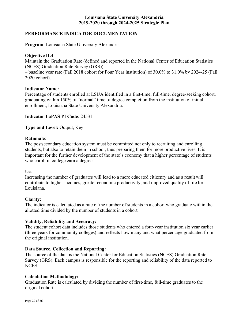# **PERFORMANCE INDICATOR DOCUMENTATION**

**Program**: Louisiana State University Alexandria

# **Objective II.4**:

Maintain the Graduation Rate (defined and reported in the National Center of Education Statistics (NCES) Graduation Rate Survey (GRS))

– baseline year rate (Fall 2018 cohort for Four Year institution) of 30.0% to 31.0% by 2024-25 (Fall 2020 cohort).

# **Indicator Name:**

Percentage of students enrolled at LSUA identified in a first-time, full-time, degree-seeking cohort, graduating within 150% of "normal" time of degree completion from the institution of initial enrollment, Louisiana State University Alexandria.

# **Indicator LaPAS PI Code**: 24531

**Type and Level:** Output, Key

# **Rationale**:

The postsecondary education system must be committed not only to recruiting and enrolling students, but also to retain them in school, thus preparing them for more productive lives. It is important for the further development of the state's economy that a higher percentage of students who enroll in college earn a degree.

# **Use**:

Increasing the number of graduates will lead to a more educated citizenry and as a result will contribute to higher incomes, greater economic productivity, and improved quality of life for Louisiana.

# **Clarity:**

The indicator is calculated as a rate of the number of students in a cohort who graduate within the allotted time divided by the number of students in a cohort.

# **Validity, Reliability and Accuracy:**

The student cohort data includes those students who entered a four-year institution six year earlier (three years for community colleges) and reflects how many and what percentage graduated from the original institution.

# **Data Source, Collection and Reporting:**

The source of the data is the National Center for Education Statistics (NCES) Graduation Rate Survey (GRS). Each campus is responsible for the reporting and reliability of the data reported to NCES.

# **Calculation Methodology:**

Graduation Rate is calculated by dividing the number of first-time, full-time graduates to the original cohort.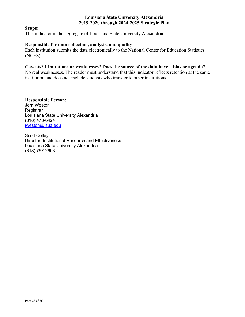**Scope:** 

This indicator is the aggregate of Louisiana State University Alexandria.

## **Responsible for data collection, analysis, and quality**

Each institution submits the data electronically to the National Center for Education Statistics (NCES).

# **Caveats? Limitations or weaknesses? Does the source of the data have a bias or agenda?**

No real weaknesses. The reader must understand that this indicator reflects retention at the same institution and does not include students who transfer to other institutions.

**Responsible Person:**  Jerri Weston **Registrar** Louisiana State University Alexandria (318) 473-6424 [jweston@lsua.edu](mailto:jweston@lsua.edu)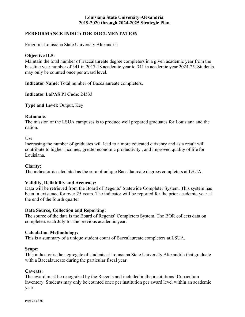# **PERFORMANCE INDICATOR DOCUMENTATION**

Program: Louisiana State University Alexandria

## **Objective II.5:**

Maintain the total number of Baccalaureate degree completers in a given academic year from the baseline year number of 341 in 2017-18 academic year to 341 in academic year 2024-25. Students may only be counted once per award level.

**Indicator Name:** Total number of Baccalaureate completers.

**Indicator LaPAS PI Code**: 24533

**Type and Level:** Output, Key

#### **Rationale**:

The mission of the LSUA campuses is to produce well prepared graduates for Louisiana and the nation.

#### **Use**:

 Increasing the number of graduates will lead to a more educated citizenry and as a result will contribute to higher incomes, greater economic productivity , and improved quality of life for Louisiana.

#### **Clarity:**

The indicator is calculated as the sum of unique Baccalaureate degrees completers at LSUA.

#### **Validity, Reliability and Accuracy:**

 Data will be retrieved from the Board of Regents' Statewide Completer System. This system has been in existence for over 25 years. The indicator will be reported for the prior academic year at the end of the fourth quarter

#### **Data Source, Collection and Reporting:**

The source of the data is the Board of Regents' Completers System. The BOR collects data on completers each July for the previous academic year.

#### **Calculation Methodology:**

This is a summary of a unique student count of Baccalaureate completers at LSUA.

#### **Scope:**

This indicator is the aggregate of students at Louisiana State University Alexandria that graduate with a Baccalaureate during the particular fiscal year.

#### **Caveats:**

The award must be recognized by the Regents and included in the institutions' Curriculum inventory. Students may only be counted once per institution per award level within an academic year.